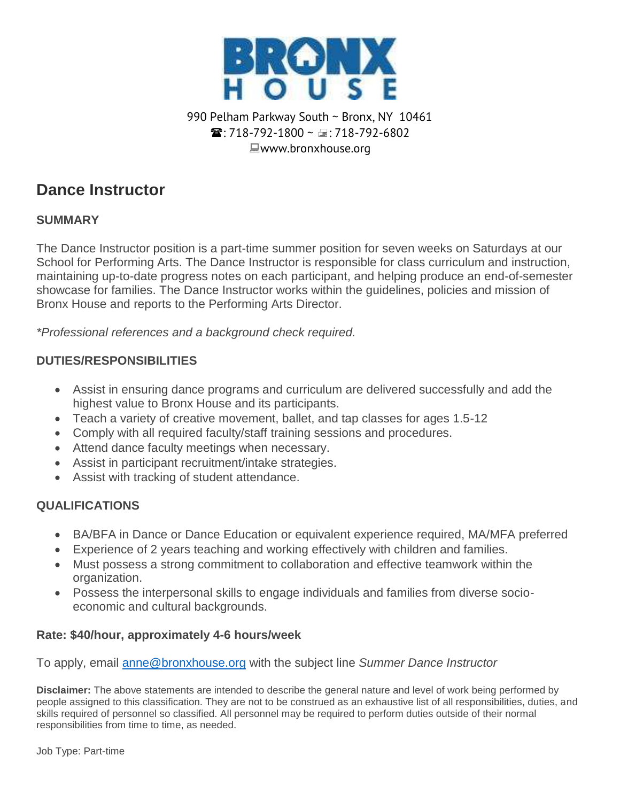

## 990 Pelham Parkway South ~ Bronx, NY 10461  $\mathbf{\widehat{m}}$  · 718-792-1800 ~  $\oplus$  · 718-792-6802 ■www.bronxhouse.org

# **Dance Instructor**

#### **SUMMARY**

The Dance Instructor position is a part-time summer position for seven weeks on Saturdays at our School for Performing Arts. The Dance Instructor is responsible for class curriculum and instruction, maintaining up-to-date progress notes on each participant, and helping produce an end-of-semester showcase for families. The Dance Instructor works within the guidelines, policies and mission of Bronx House and reports to the Performing Arts Director.

*\*Professional references and a background check required.*

## **DUTIES/RESPONSIBILITIES**

- Assist in ensuring dance programs and curriculum are delivered successfully and add the highest value to Bronx House and its participants.
- Teach a variety of creative movement, ballet, and tap classes for ages 1.5-12
- Comply with all required faculty/staff training sessions and procedures.
- Attend dance faculty meetings when necessary.
- Assist in participant recruitment/intake strategies.
- Assist with tracking of student attendance.

# **QUALIFICATIONS**

- BA/BFA in Dance or Dance Education or equivalent experience required, MA/MFA preferred
- Experience of 2 years teaching and working effectively with children and families.
- Must possess a strong commitment to collaboration and effective teamwork within the organization.
- Possess the interpersonal skills to engage individuals and families from diverse socioeconomic and cultural backgrounds.

#### **Rate: \$40/hour, approximately 4-6 hours/week**

To apply, email [anne@bronxhouse.org](mailto:anne@bronxhouse.org) with the subject line *Summer Dance Instructor*

**Disclaimer:** The above statements are intended to describe the general nature and level of work being performed by people assigned to this classification. They are not to be construed as an exhaustive list of all responsibilities, duties, and skills required of personnel so classified. All personnel may be required to perform duties outside of their normal responsibilities from time to time, as needed.